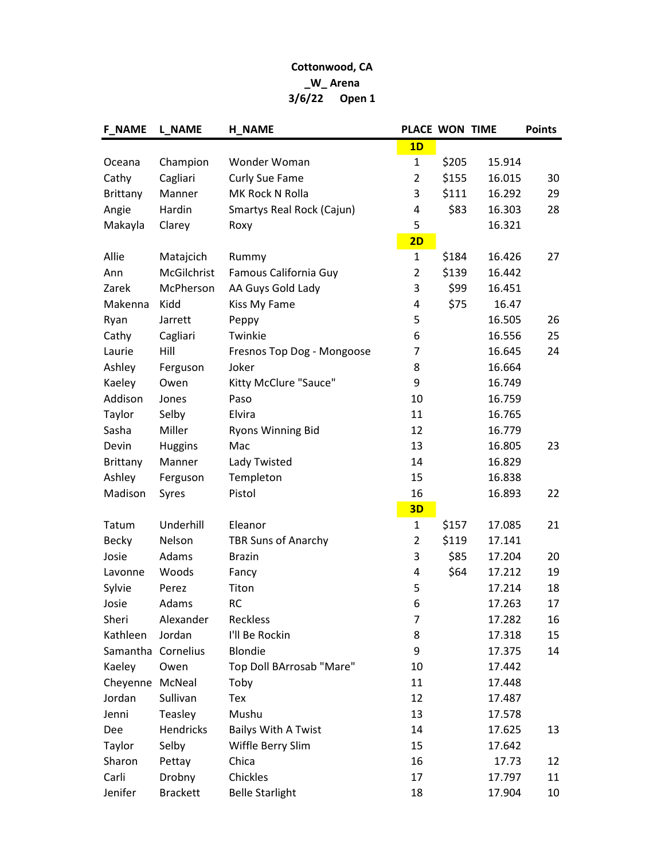## Cottonwood, CA \_W\_ Arena 3/6/22 Open 1

| <b>F_NAME</b>      | L NAME          | <b>H NAME</b>              | PLACE WON TIME |       |        | <b>Points</b> |
|--------------------|-----------------|----------------------------|----------------|-------|--------|---------------|
|                    |                 |                            | 1D             |       |        |               |
| Oceana             | Champion        | Wonder Woman               | $\mathbf{1}$   | \$205 | 15.914 |               |
| Cathy              | Cagliari        | <b>Curly Sue Fame</b>      | $\overline{2}$ | \$155 | 16.015 | 30            |
| <b>Brittany</b>    | Manner          | MK Rock N Rolla            | 3              | \$111 | 16.292 | 29            |
| Angie              | Hardin          | Smartys Real Rock (Cajun)  | 4              | \$83  | 16.303 | 28            |
| Makayla            | Clarey          | Roxy                       | 5              |       | 16.321 |               |
|                    |                 |                            | 2D             |       |        |               |
| Allie              | Matajcich       | Rummy                      | $\mathbf{1}$   | \$184 | 16.426 | 27            |
| Ann                | McGilchrist     | Famous California Guy      | $\overline{2}$ | \$139 | 16.442 |               |
| Zarek              | McPherson       | AA Guys Gold Lady          | 3              | \$99  | 16.451 |               |
| Makenna            | Kidd            | Kiss My Fame               | 4              | \$75  | 16.47  |               |
| Ryan               | Jarrett         | Peppy                      | 5              |       | 16.505 | 26            |
| Cathy              | Cagliari        | Twinkie                    | 6              |       | 16.556 | 25            |
| Laurie             | Hill            | Fresnos Top Dog - Mongoose | 7              |       | 16.645 | 24            |
| Ashley             | Ferguson        | Joker                      | 8              |       | 16.664 |               |
| Kaeley             | Owen            | Kitty McClure "Sauce"      | 9              |       | 16.749 |               |
| Addison            | Jones           | Paso                       | 10             |       | 16.759 |               |
| Taylor             | Selby           | Elvira                     | 11             |       | 16.765 |               |
| Sasha              | Miller          | <b>Ryons Winning Bid</b>   | 12             |       | 16.779 |               |
| Devin              | <b>Huggins</b>  | Mac                        | 13             |       | 16.805 | 23            |
| <b>Brittany</b>    | Manner          | Lady Twisted               | 14             |       | 16.829 |               |
| Ashley             | Ferguson        | Templeton                  | 15             |       | 16.838 |               |
| Madison            | Syres           | Pistol                     | 16             |       | 16.893 | 22            |
|                    |                 |                            | 3D             |       |        |               |
| Tatum              | Underhill       | Eleanor                    | $\mathbf{1}$   | \$157 | 17.085 | 21            |
| <b>Becky</b>       | Nelson          | <b>TBR Suns of Anarchy</b> | $\overline{2}$ | \$119 | 17.141 |               |
| Josie              | Adams           | <b>Brazin</b>              | 3              | \$85  | 17.204 | 20            |
| Lavonne            | Woods           | Fancy                      | 4              | \$64  | 17.212 | 19            |
| Sylvie             | Perez           | Titon                      | 5              |       | 17.214 | 18            |
| Josie              | Adams           | <b>RC</b>                  | 6              |       | 17.263 | 17            |
| Sheri              | Alexander       | Reckless                   | 7              |       | 17.282 | 16            |
| Kathleen           | Jordan          | I'll Be Rockin             | 8              |       | 17.318 | 15            |
| Samantha Cornelius |                 | <b>Blondie</b>             | 9              |       | 17.375 | 14            |
| Kaeley             | Owen            | Top Doll BArrosab "Mare"   | 10             |       | 17.442 |               |
| Cheyenne McNeal    |                 | Toby                       | 11             |       | 17.448 |               |
| Jordan             | Sullivan        | Tex                        | 12             |       | 17.487 |               |
| Jenni              | Teasley         | Mushu                      | 13             |       | 17.578 |               |
| Dee                | Hendricks       | <b>Bailys With A Twist</b> | 14             |       | 17.625 | 13            |
| Taylor             | Selby           | Wiffle Berry Slim          | 15             |       | 17.642 |               |
| Sharon             | Pettay          | Chica                      | 16             |       | 17.73  | 12            |
| Carli              | Drobny          | Chickles                   | 17             |       | 17.797 | 11            |
| Jenifer            | <b>Brackett</b> | <b>Belle Starlight</b>     | 18             |       | 17.904 | 10            |